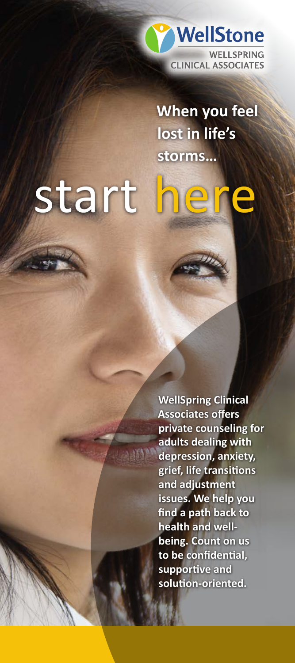

**When you feel lost in life's storms…**

# start her

**WellSpring Clinical Associates offers private counseling for adults dealing with depression, anxiety, grief, life transitions and adjustment issues. We help you find a path back to health and wellbeing. Count on us to be confidential, supportive and solution-oriented.**